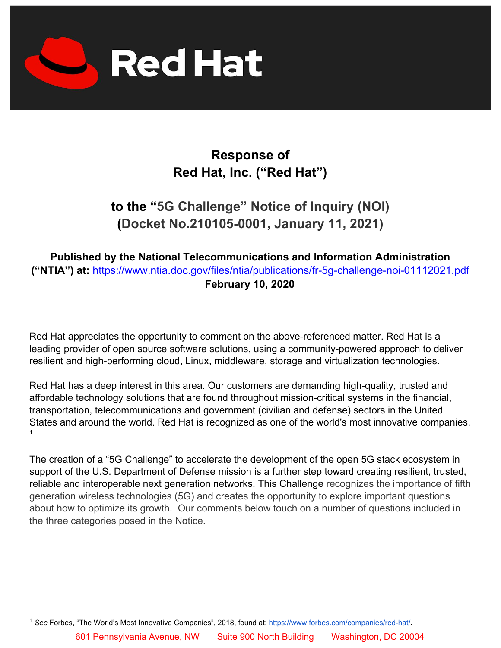

# **Response of Red Hat, Inc. ("Red Hat")**

# **to the "5G Challenge" Notice of Inquiry (NOI) (Docket No.210105-0001, January 11, 2021)**

### **Published by the National Telecommunications and Information Administration ("NTIA") at:** https://www.ntia.doc.gov/files/ntia/publications/fr-5g-challenge-noi-01112021.pdf **February 10, 2020**

Red Hat appreciates the opportunity to comment on the above-referenced matter. Red Hat is a leading provider of open source software solutions, using a community-powered approach to deliver resilient and high-performing cloud, Linux, middleware, storage and virtualization technologies.

Red Hat has a deep interest in this area. Our customers are demanding high-quality, trusted and affordable technology solutions that are found throughout mission-critical systems in the financial, transportation, telecommunications and government (civilian and defense) sectors in the United States and around the world. Red Hat is recognized as one of the world's most innovative companies. 1

The creation of a "5G Challenge" to accelerate the development of the open 5G stack ecosystem in support of the U.S. Department of Defense mission is a further step toward creating resilient, trusted, reliable and interoperable next generation networks. This Challenge recognizes the importance of fifth generation wireless technologies (5G) and creates the opportunity to explore important questions about how to optimize its growth. Our comments below touch on a number of questions included in the three categories posed in the Notice.

<sup>1</sup> *See* Forbes, "The World's Most Innovative Companies", 2018, found at[:](https://www.forbes.com/companies/red-hat/) <https://www.forbes.com/companies/red-hat/>**.**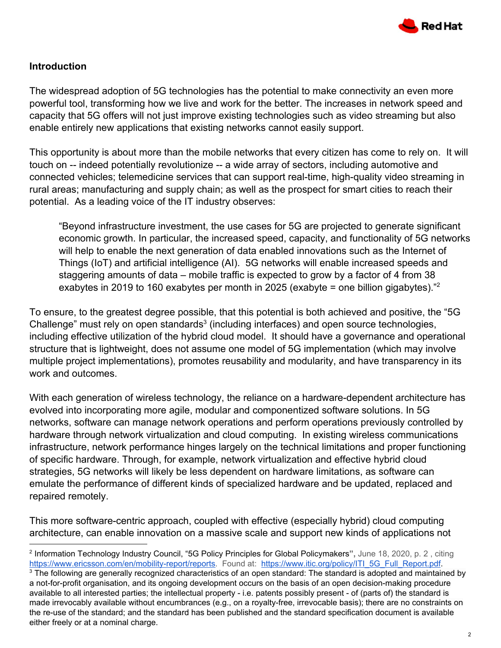

#### **Introduction**

The widespread adoption of 5G technologies has the potential to make connectivity an even more powerful tool, transforming how we live and work for the better. The increases in network speed and capacity that 5G offers will not just improve existing technologies such as video streaming but also enable entirely new applications that existing networks cannot easily support.

This opportunity is about more than the mobile networks that every citizen has come to rely on. It will touch on -- indeed potentially revolutionize -- a wide array of sectors, including automotive and connected vehicles; telemedicine services that can support real-time, high-quality video streaming in rural areas; manufacturing and supply chain; as well as the prospect for smart cities to reach their potential. As a leading voice of the IT industry observes:

"Beyond infrastructure investment, the use cases for 5G are projected to generate significant economic growth. In particular, the increased speed, capacity, and functionality of 5G networks will help to enable the next generation of data enabled innovations such as the Internet of Things (IoT) and artificial intelligence (AI). 5G networks will enable increased speeds and staggering amounts of data – mobile traffic is expected to grow by a factor of 4 from 38 exabytes in 2019 to 160 exabytes per month in 2025 (exabyte = one billion gigabytes)."<sup>2</sup>

To ensure, to the greatest degree possible, that this potential is both achieved and positive, the "5G Challenge" must rely on open standards<sup>3</sup> (including interfaces) and open source technologies, including effective utilization of the hybrid cloud model. It should have a governance and operational structure that is lightweight, does not assume one model of 5G implementation (which may involve multiple project implementations), promotes reusability and modularity, and have transparency in its work and outcomes.

With each generation of wireless technology, the reliance on a hardware-dependent architecture has evolved into incorporating more agile, modular and componentized software solutions. In 5G networks, software can manage network operations and perform operations previously controlled by hardware through network virtualization and cloud computing. In existing wireless communications infrastructure, network performance hinges largely on the technical limitations and proper functioning of specific hardware. Through, for example, network virtualization and effective hybrid cloud strategies, 5G networks will likely be less dependent on hardware limitations, as software can emulate the performance of different kinds of specialized hardware and be updated, replaced and repaired remotely.

This more software-centric approach, coupled with effective (especially hybrid) cloud computing architecture, can enable innovation on a massive scale and support new kinds of applications not

<sup>2</sup> Information Technology Industry Council, "5G Policy Principles for Global Policymakers**",** June 18, 2020, p. 2 , citing <https://www.ericsson.com/en/mobility-report/reports>. Found at: [https://www.itic.org/policy/ITI\\_5G\\_Full\\_Report.pdf](https://www.itic.org/policy/ITI_5G_Full_Report.pdf).

<sup>&</sup>lt;sup>3</sup> The following are generally recognized characteristics of an open standard: The standard is adopted and maintained by a not-for-profit organisation, and its ongoing development occurs on the basis of an open decision-making procedure available to all interested parties; the intellectual property - i.e. patents possibly present - of (parts of) the standard is made irrevocably available without encumbrances (e.g., on a royalty-free, irrevocable basis); there are no constraints on the re-use of the standard; and the standard has been published and the standard specification document is available either freely or at a nominal charge.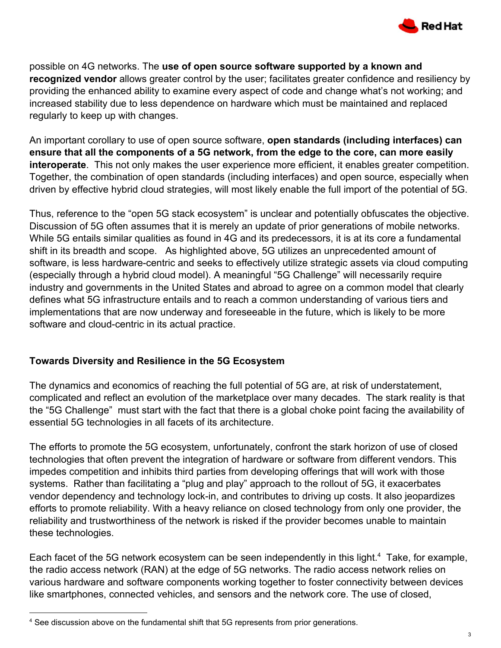

possible on 4G networks. The **use of open source software supported by a known and recognized vendor** allows greater control by the user; facilitates greater confidence and resiliency by providing the enhanced ability to examine every aspect of code and change what's not working; and increased stability due to less dependence on hardware which must be maintained and replaced regularly to keep up with changes.

An important corollary to use of open source software, **open standards (including interfaces) can ensure that all the components of a 5G network, from the edge to the core, can more easily interoperate**. This not only makes the user experience more efficient, it enables greater competition. Together, the combination of open standards (including interfaces) and open source, especially when driven by effective hybrid cloud strategies, will most likely enable the full import of the potential of 5G.

Thus, reference to the "open 5G stack ecosystem" is unclear and potentially obfuscates the objective. Discussion of 5G often assumes that it is merely an update of prior generations of mobile networks. While 5G entails similar qualities as found in 4G and its predecessors, it is at its core a fundamental shift in its breadth and scope. As highlighted above, 5G utilizes an unprecedented amount of software, is less hardware-centric and seeks to effectively utilize strategic assets via cloud computing (especially through a hybrid cloud model). A meaningful "5G Challenge" will necessarily require industry and governments in the United States and abroad to agree on a common model that clearly defines what 5G infrastructure entails and to reach a common understanding of various tiers and implementations that are now underway and foreseeable in the future, which is likely to be more software and cloud-centric in its actual practice.

### **Towards Diversity and Resilience in the 5G Ecosystem**

The dynamics and economics of reaching the full potential of 5G are, at risk of understatement, complicated and reflect an evolution of the marketplace over many decades. The stark reality is that the "5G Challenge" must start with the fact that there is a global choke point facing the availability of essential 5G technologies in all facets of its architecture.

The efforts to promote the 5G ecosystem, unfortunately, confront the stark horizon of use of closed technologies that often prevent the integration of hardware or software from different vendors. This impedes competition and inhibits third parties from developing offerings that will work with those systems. Rather than facilitating a "plug and play" approach to the rollout of 5G, it exacerbates vendor dependency and technology lock-in, and contributes to driving up costs. It also jeopardizes efforts to promote reliability. With a heavy reliance on closed technology from only one provider, the reliability and trustworthiness of the network is risked if the provider becomes unable to maintain these technologies.

Each facet of the 5G network ecosystem can be seen independently in this light.<sup>4</sup> Take, for example, the radio access network (RAN) at the edge of 5G networks. The radio access network relies on various hardware and software components working together to foster connectivity between devices like smartphones, connected vehicles, and sensors and the network core. The use of closed,

<sup>4</sup> See discussion above on the fundamental shift that 5G represents from prior generations.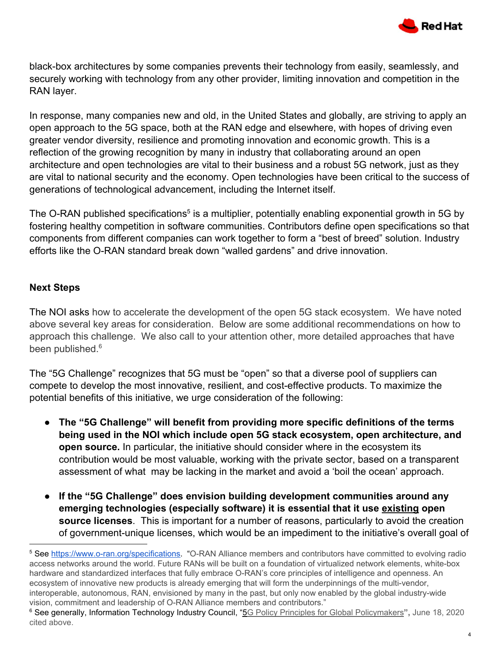

black-box architectures by some companies prevents their technology from easily, seamlessly, and securely working with technology from any other provider, limiting innovation and competition in the RAN layer.

In response, many companies new and old, in the United States and globally, are striving to apply an open approach to the 5G space, both at the RAN edge and elsewhere, with hopes of driving even greater vendor diversity, resilience and promoting innovation and economic growth. This is a reflection of the growing recognition by many in industry that collaborating around an open architecture and open technologies are vital to their business and a robust 5G network, just as they are vital to national security and the economy. Open technologies have been critical to the success of generations of technological advancement, including the Internet itself.

The O-RAN published specifications<sup>5</sup> is a multiplier, potentially enabling exponential growth in 5G by fostering healthy competition in software communities. Contributors define open specifications so that components from different companies can work together to form a "best of breed" solution. Industry efforts like the O-RAN standard break down "walled gardens" and drive innovation.

#### **Next Steps**

The NOI asks how to accelerate the development of the open 5G stack ecosystem. We have noted above several key areas for consideration. Below are some additional recommendations on how to approach this challenge. We also call to your attention other, more detailed approaches that have been published.<sup>6</sup>

The "5G Challenge" recognizes that 5G must be "open" so that a diverse pool of suppliers can compete to develop the most innovative, resilient, and cost-effective products. To maximize the potential benefits of this initiative, we urge consideration of the following:

- **The "5G Challenge" will benefit from providing more specific definitions of the terms being used in the NOI which include open 5G stack ecosystem, open architecture, and open source.** In particular, the initiative should consider where in the ecosystem its contribution would be most valuable, working with the private sector, based on a transparent assessment of what may be lacking in the market and avoid a 'boil the ocean' approach.
- **If the "5G Challenge" does envision building development communities around any emerging technologies (especially software) it is essential that it use existing open source licenses**. This is important for a number of reasons, particularly to avoid the creation of government-unique licenses, which would be an impediment to the initiative's overall goal of

<sup>&</sup>lt;sup>5</sup> See <https://www.o-ran.org/specifications>. "O-RAN Alliance members and contributors have committed to evolving radio access networks around the world. Future RANs will be built on a foundation of virtualized network elements, white-box hardware and standardized interfaces that fully embrace O-RAN's core principles of intelligence and openness. An ecosystem of innovative new products is already emerging that will form the underpinnings of the multi-vendor, interoperable, autonomous, RAN, envisioned by many in the past, but only now enabled by the global industry-wide vision, commitment and leadership of O-RAN Alliance members and contributors."

<sup>6</sup> See generally, Information Technology Industry Council, "5G Policy Principles for Global [Policymakers](https://www.itic.org/policy/ITI_5G_Full_Report.pdf)**",** June 18, 2020 cited above.